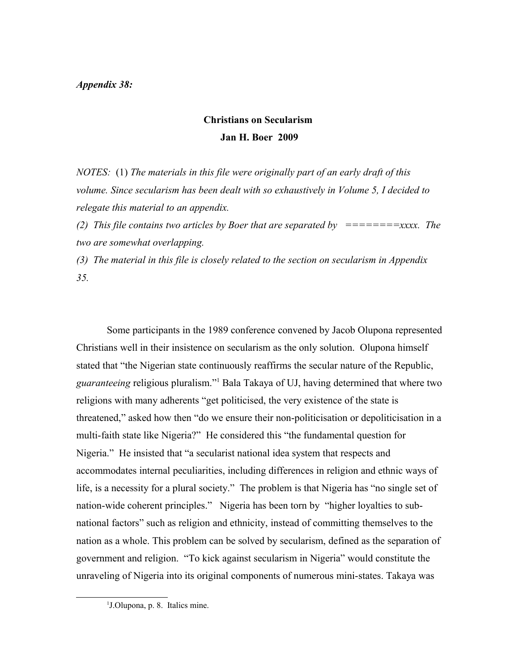## *Appendix 38:*

## **Christians on Secularism Jan H. Boer 2009**

*NOTES:* (1) *The materials in this file were originally part of an early draft of this volume. Since secularism has been dealt with so exhaustively in Volume 5, I decided to relegate this material to an appendix.*

*(2) This file contains two articles by Boer that are separated by ========xxxx. The two are somewhat overlapping.* 

*(3) The material in this file is closely related to the section on secularism in Appendix 35.*

Some participants in the 1989 conference convened by Jacob Olupona represented Christians well in their insistence on secularism as the only solution. Olupona himself stated that "the Nigerian state continuously reaffirms the secular nature of the Republic, *guaranteeing* religious pluralism."[1](#page-0-0) Bala Takaya of UJ, having determined that where two religions with many adherents "get politicised, the very existence of the state is threatened," asked how then "do we ensure their non-politicisation or depoliticisation in a multi-faith state like Nigeria?" He considered this "the fundamental question for Nigeria." He insisted that "a secularist national idea system that respects and accommodates internal peculiarities, including differences in religion and ethnic ways of life, is a necessity for a plural society." The problem is that Nigeria has "no single set of nation-wide coherent principles." Nigeria has been torn by "higher loyalties to subnational factors" such as religion and ethnicity, instead of committing themselves to the nation as a whole. This problem can be solved by secularism, defined as the separation of government and religion. "To kick against secularism in Nigeria" would constitute the unraveling of Nigeria into its original components of numerous mini-states. Takaya was

<span id="page-0-0"></span><sup>1</sup> J.Olupona, p. 8. Italics mine.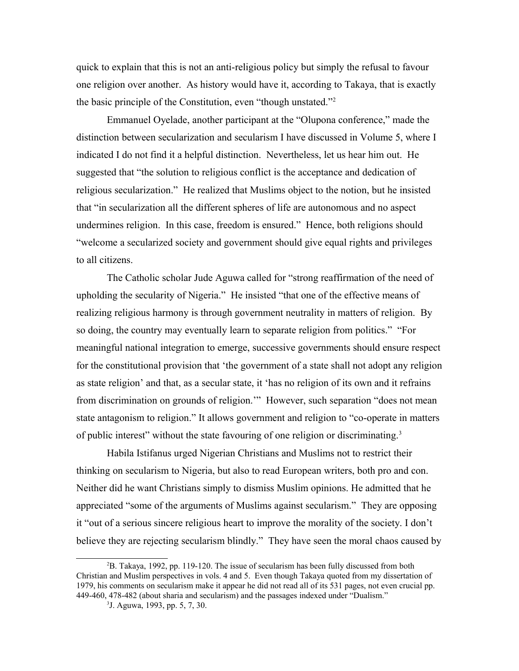quick to explain that this is not an anti-religious policy but simply the refusal to favour one religion over another. As history would have it, according to Takaya, that is exactly the basic principle of the Constitution, even "though unstated."[2](#page-1-0)

Emmanuel Oyelade, another participant at the "Olupona conference," made the distinction between secularization and secularism I have discussed in Volume 5, where I indicated I do not find it a helpful distinction. Nevertheless, let us hear him out. He suggested that "the solution to religious conflict is the acceptance and dedication of religious secularization." He realized that Muslims object to the notion, but he insisted that "in secularization all the different spheres of life are autonomous and no aspect undermines religion. In this case, freedom is ensured." Hence, both religions should "welcome a secularized society and government should give equal rights and privileges to all citizens.

The Catholic scholar Jude Aguwa called for "strong reaffirmation of the need of upholding the secularity of Nigeria." He insisted "that one of the effective means of realizing religious harmony is through government neutrality in matters of religion. By so doing, the country may eventually learn to separate religion from politics." "For meaningful national integration to emerge, successive governments should ensure respect for the constitutional provision that 'the government of a state shall not adopt any religion as state religion' and that, as a secular state, it 'has no religion of its own and it refrains from discrimination on grounds of religion.'" However, such separation "does not mean state antagonism to religion." It allows government and religion to "co-operate in matters of public interest" without the state favouring of one religion or discriminating.[3](#page-1-1)

Habila Istifanus urged Nigerian Christians and Muslims not to restrict their thinking on secularism to Nigeria, but also to read European writers, both pro and con. Neither did he want Christians simply to dismiss Muslim opinions. He admitted that he appreciated "some of the arguments of Muslims against secularism." They are opposing it "out of a serious sincere religious heart to improve the morality of the society. I don't believe they are rejecting secularism blindly." They have seen the moral chaos caused by

<span id="page-1-0"></span><sup>2</sup>B. Takaya, 1992, pp. 119-120. The issue of secularism has been fully discussed from both Christian and Muslim perspectives in vols. 4 and 5. Even though Takaya quoted from my dissertation of 1979, his comments on secularism make it appear he did not read all of its 531 pages, not even crucial pp. 449-460, 478-482 (about sharia and secularism) and the passages indexed under "Dualism."

<span id="page-1-1"></span><sup>3</sup> J. Aguwa, 1993, pp. 5, 7, 30.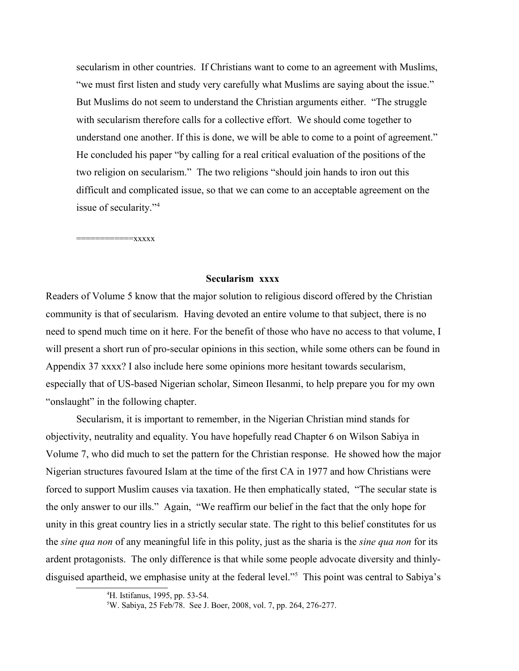secularism in other countries. If Christians want to come to an agreement with Muslims, "we must first listen and study very carefully what Muslims are saying about the issue." But Muslims do not seem to understand the Christian arguments either. "The struggle with secularism therefore calls for a collective effort. We should come together to understand one another. If this is done, we will be able to come to a point of agreement." He concluded his paper "by calling for a real critical evaluation of the positions of the two religion on secularism." The two religions "should join hands to iron out this difficult and complicated issue, so that we can come to an acceptable agreement on the issue of secularity."[4](#page-2-0)

============xxxxx

## **Secularism xxxx**

Readers of Volume 5 know that the major solution to religious discord offered by the Christian community is that of secularism. Having devoted an entire volume to that subject, there is no need to spend much time on it here. For the benefit of those who have no access to that volume, I will present a short run of pro-secular opinions in this section, while some others can be found in Appendix 37 xxxx? I also include here some opinions more hesitant towards secularism, especially that of US-based Nigerian scholar, Simeon Ilesanmi, to help prepare you for my own "onslaught" in the following chapter.

Secularism, it is important to remember, in the Nigerian Christian mind stands for objectivity, neutrality and equality. You have hopefully read Chapter 6 on Wilson Sabiya in Volume 7, who did much to set the pattern for the Christian response. He showed how the major Nigerian structures favoured Islam at the time of the first CA in 1977 and how Christians were forced to support Muslim causes via taxation. He then emphatically stated, "The secular state is the only answer to our ills." Again, "We reaffirm our belief in the fact that the only hope for unity in this great country lies in a strictly secular state. The right to this belief constitutes for us the *sine qua non* of any meaningful life in this polity, just as the sharia is the *sine qua non* for its ardent protagonists. The only difference is that while some people advocate diversity and thinlydisguised apartheid, we emphasise unity at the federal level."[5](#page-2-1) This point was central to Sabiya's

<span id="page-2-0"></span><sup>4</sup>H. Istifanus, 1995, pp. 53-54.

<span id="page-2-1"></span><sup>5</sup>W. Sabiya, 25 Feb/78. See J. Boer, 2008, vol. 7, pp. 264, 276-277.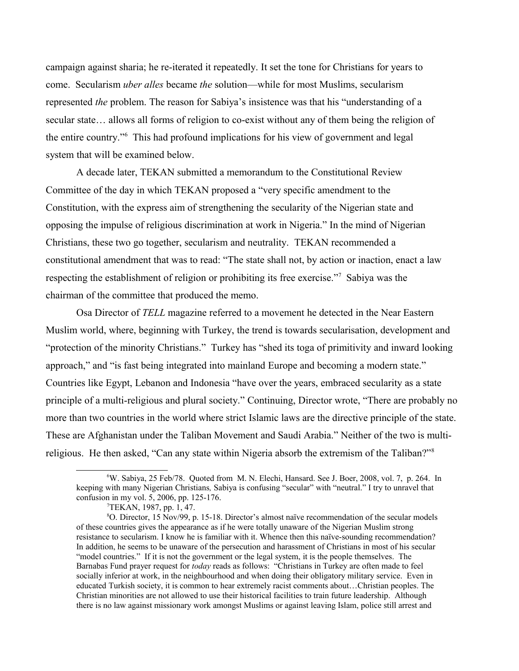campaign against sharia; he re-iterated it repeatedly. It set the tone for Christians for years to come. Secularism *uber alles* became *the* solution—while for most Muslims, secularism represented *the* problem. The reason for Sabiya's insistence was that his "understanding of a secular state… allows all forms of religion to co-exist without any of them being the religion of the entire country."[6](#page-3-0) This had profound implications for his view of government and legal system that will be examined below.

A decade later, TEKAN submitted a memorandum to the Constitutional Review Committee of the day in which TEKAN proposed a "very specific amendment to the Constitution, with the express aim of strengthening the secularity of the Nigerian state and opposing the impulse of religious discrimination at work in Nigeria." In the mind of Nigerian Christians, these two go together, secularism and neutrality. TEKAN recommended a constitutional amendment that was to read: "The state shall not, by action or inaction, enact a law respecting the establishment of religion or prohibiting its free exercise."<sup>[7](#page-3-1)</sup> Sabiya was the chairman of the committee that produced the memo.

Osa Director of *TELL* magazine referred to a movement he detected in the Near Eastern Muslim world, where, beginning with Turkey, the trend is towards secularisation, development and "protection of the minority Christians." Turkey has "shed its toga of primitivity and inward looking approach," and "is fast being integrated into mainland Europe and becoming a modern state." Countries like Egypt, Lebanon and Indonesia "have over the years, embraced secularity as a state principle of a multi-religious and plural society." Continuing, Director wrote, "There are probably no more than two countries in the world where strict Islamic laws are the directive principle of the state. These are Afghanistan under the Taliban Movement and Saudi Arabia." Neither of the two is multi-religious. He then asked, "Can any state within Nigeria absorb the extremism of the Taliban?"<sup>[8](#page-3-2)</sup>

<sup>6</sup>W. Sabiya, 25 Feb/78. Quoted from M. N. Elechi, Hansard. See J. Boer, 2008, vol. 7, p. 264. In keeping with many Nigerian Christians*,* Sabiya is confusing "secular" with "neutral." I try to unravel that confusion in my vol. 5, 2006, pp. 125-176.

<span id="page-3-2"></span><span id="page-3-1"></span><span id="page-3-0"></span><sup>7</sup>TEKAN, 1987, pp. 1, 47.

<sup>8</sup>O. Director, 15 Nov/99, p. 15-18. Director's almost naïve recommendation of the secular models of these countries gives the appearance as if he were totally unaware of the Nigerian Muslim strong resistance to secularism. I know he is familiar with it. Whence then this naïve-sounding recommendation? In addition, he seems to be unaware of the persecution and harassment of Christians in most of his secular "model countries." If it is not the government or the legal system, it is the people themselves. The Barnabas Fund prayer request for *today* reads as follows: "Christians in Turkey are often made to feel socially inferior at work, in the neighbourhood and when doing their obligatory military service. Even in educated Turkish society, it is common to hear extremely racist comments about…Christian peoples. The Christian minorities are not allowed to use their historical facilities to train future leadership. Although there is no law against missionary work amongst Muslims or against leaving Islam, police still arrest and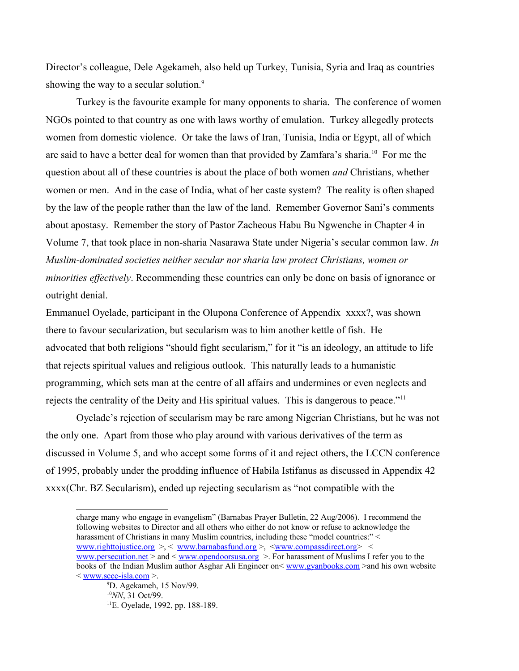Director's colleague, Dele Agekameh, also held up Turkey, Tunisia, Syria and Iraq as countries showing the way to a secular solution.<sup>[9](#page-4-0)</sup>

Turkey is the favourite example for many opponents to sharia. The conference of women NGOs pointed to that country as one with laws worthy of emulation. Turkey allegedly protects women from domestic violence. Or take the laws of Iran, Tunisia, India or Egypt, all of which are said to have a better deal for women than that provided by Zamfara's sharia.[10](#page-4-1) For me the question about all of these countries is about the place of both women *and* Christians, whether women or men. And in the case of India, what of her caste system? The reality is often shaped by the law of the people rather than the law of the land. Remember Governor Sani's comments about apostasy. Remember the story of Pastor Zacheous Habu Bu Ngwenche in Chapter 4 in Volume 7, that took place in non-sharia Nasarawa State under Nigeria's secular common law. *In Muslim-dominated societies neither secular nor sharia law protect Christians, women or minorities effectively*. Recommending these countries can only be done on basis of ignorance or outright denial.

Emmanuel Oyelade, participant in the Olupona Conference of Appendix xxxx?, was shown there to favour secularization, but secularism was to him another kettle of fish. He advocated that both religions "should fight secularism," for it "is an ideology, an attitude to life that rejects spiritual values and religious outlook. This naturally leads to a humanistic programming, which sets man at the centre of all affairs and undermines or even neglects and rejects the centrality of the Deity and His spiritual values. This is dangerous to peace."<sup>[11](#page-4-2)</sup>

Oyelade's rejection of secularism may be rare among Nigerian Christians, but he was not the only one. Apart from those who play around with various derivatives of the term as discussed in Volume 5, and who accept some forms of it and reject others, the LCCN conference of 1995, probably under the prodding influence of Habila Istifanus as discussed in Appendix 42 xxxx(Chr. BZ Secularism), ended up rejecting secularism as "not compatible with the

charge many who engage in evangelism" (Barnabas Prayer Bulletin, 22 Aug/2006). I recommend the following websites to Director and all others who either do not know or refuse to acknowledge the harassment of Christians in many Muslim countries, including these "model countries:" < [www.righttojustice.org](http://www.righttojustice.org/) >, < [www.barnabasfund.org](http://www.barnabasfund.org/) >, [<www.compassdirect.org>](http://www.compassdirect.org/) < [www.persecution.net](http://www.persecution.net/) > and < [www.opendoorsusa.org](http://www.opendoorsusa.org/) >. For harassment of Muslims I refer you to the books of the Indian Muslim author Asghar Ali Engineer on< [www.gyanbooks.com](http://www.gyanbooks.com/) >and his own website < [www.sccc-isla.com](http://www.sccc-isla.com/) >.

<span id="page-4-2"></span><span id="page-4-1"></span><span id="page-4-0"></span><sup>9</sup>D. Agekameh, 15 Nov/99. <sup>10</sup>*NN*, 31 Oct/99. 11E. Oyelade, 1992, pp. 188-189.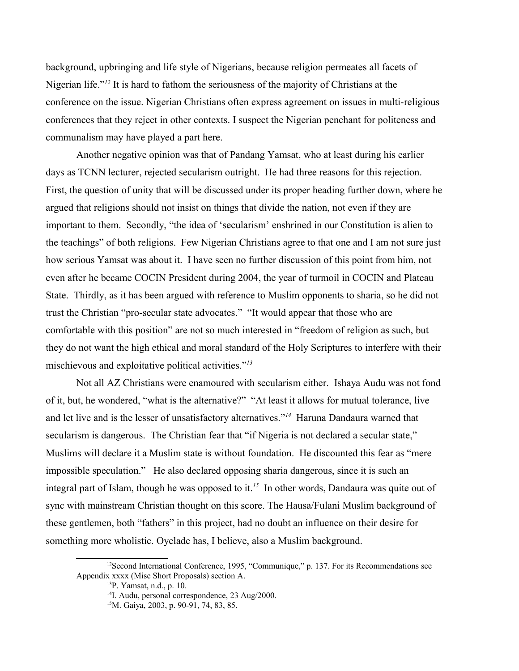background, upbringing and life style of Nigerians, because religion permeates all facets of Nigerian life."*[12](#page-5-0)* It is hard to fathom the seriousness of the majority of Christians at the conference on the issue. Nigerian Christians often express agreement on issues in multi-religious conferences that they reject in other contexts. I suspect the Nigerian penchant for politeness and communalism may have played a part here.

Another negative opinion was that of Pandang Yamsat, who at least during his earlier days as TCNN lecturer, rejected secularism outright. He had three reasons for this rejection. First, the question of unity that will be discussed under its proper heading further down, where he argued that religions should not insist on things that divide the nation, not even if they are important to them. Secondly, "the idea of 'secularism' enshrined in our Constitution is alien to the teachings" of both religions. Few Nigerian Christians agree to that one and I am not sure just how serious Yamsat was about it. I have seen no further discussion of this point from him, not even after he became COCIN President during 2004, the year of turmoil in COCIN and Plateau State. Thirdly, as it has been argued with reference to Muslim opponents to sharia, so he did not trust the Christian "pro-secular state advocates." "It would appear that those who are comfortable with this position" are not so much interested in "freedom of religion as such, but they do not want the high ethical and moral standard of the Holy Scriptures to interfere with their mischievous and exploitative political activities."*[13](#page-5-1)*

Not all AZ Christians were enamoured with secularism either. Ishaya Audu was not fond of it, but, he wondered, "what is the alternative?" "At least it allows for mutual tolerance, live and let live and is the lesser of unsatisfactory alternatives."*[14](#page-5-2)* Haruna Dandaura warned that secularism is dangerous. The Christian fear that "if Nigeria is not declared a secular state," Muslims will declare it a Muslim state is without foundation. He discounted this fear as "mere impossible speculation." He also declared opposing sharia dangerous, since it is such an integral part of Islam, though he was opposed to it.*[15](#page-5-3)* In other words, Dandaura was quite out of sync with mainstream Christian thought on this score. The Hausa/Fulani Muslim background of these gentlemen, both "fathers" in this project, had no doubt an influence on their desire for something more wholistic. Oyelade has, I believe, also a Muslim background.

 $12$ Second International Conference, 1995, "Communique," p. 137. For its Recommendations see Appendix xxxx (Misc Short Proposals) section A.

<span id="page-5-1"></span><span id="page-5-0"></span><sup>13</sup>P. Yamsat, n.d., p. 10.

<span id="page-5-2"></span><sup>&</sup>lt;sup>14</sup>I. Audu, personal correspondence, 23 Aug/2000.

<span id="page-5-3"></span><sup>15</sup>M. Gaiya, 2003, p. 90-91, 74, 83, 85.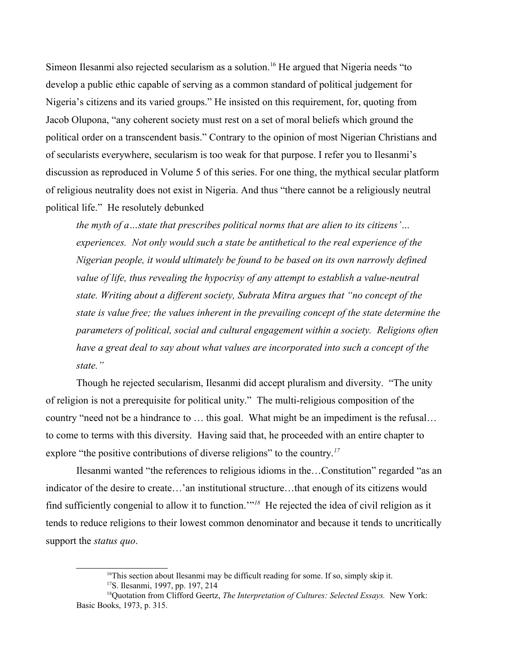Simeon Ilesanmi also rejected secularism as a solution.<sup>[16](#page-6-0)</sup> He argued that Nigeria needs "to develop a public ethic capable of serving as a common standard of political judgement for Nigeria's citizens and its varied groups." He insisted on this requirement, for, quoting from Jacob Olupona, "any coherent society must rest on a set of moral beliefs which ground the political order on a transcendent basis." Contrary to the opinion of most Nigerian Christians and of secularists everywhere, secularism is too weak for that purpose. I refer you to Ilesanmi's discussion as reproduced in Volume 5 of this series. For one thing, the mythical secular platform of religious neutrality does not exist in Nigeria. And thus "there cannot be a religiously neutral political life." He resolutely debunked

*the myth of a…state that prescribes political norms that are alien to its citizens'… experiences. Not only would such a state be antithetical to the real experience of the Nigerian people, it would ultimately be found to be based on its own narrowly defined value of life, thus revealing the hypocrisy of any attempt to establish a value-neutral state. Writing about a different society, Subrata Mitra argues that "no concept of the state is value free; the values inherent in the prevailing concept of the state determine the parameters of political, social and cultural engagement within a society. Religions often have a great deal to say about what values are incorporated into such a concept of the state."* 

Though he rejected secularism, Ilesanmi did accept pluralism and diversity. "The unity of religion is not a prerequisite for political unity." The multi-religious composition of the country "need not be a hindrance to … this goal. What might be an impediment is the refusal… to come to terms with this diversity. Having said that, he proceeded with an entire chapter to explore "the positive contributions of diverse religions" to the country.*[17](#page-6-1)*

Ilesanmi wanted "the references to religious idioms in the…Constitution" regarded "as an indicator of the desire to create…'an institutional structure…that enough of its citizens would find sufficiently congenial to allow it to function.'"*[18](#page-6-2)* He rejected the idea of civil religion as it tends to reduce religions to their lowest common denominator and because it tends to uncritically support the *status quo*.

<span id="page-6-2"></span><span id="page-6-1"></span><span id="page-6-0"></span> $16$ This section about Ilesanmi may be difficult reading for some. If so, simply skip it. <sup>17</sup>S. Ilesanmi, 1997, pp. 197, 214

<sup>18</sup>Quotation from Clifford Geertz, *The Interpretation of Cultures: Selected Essays.* New York: Basic Books, 1973, p. 315.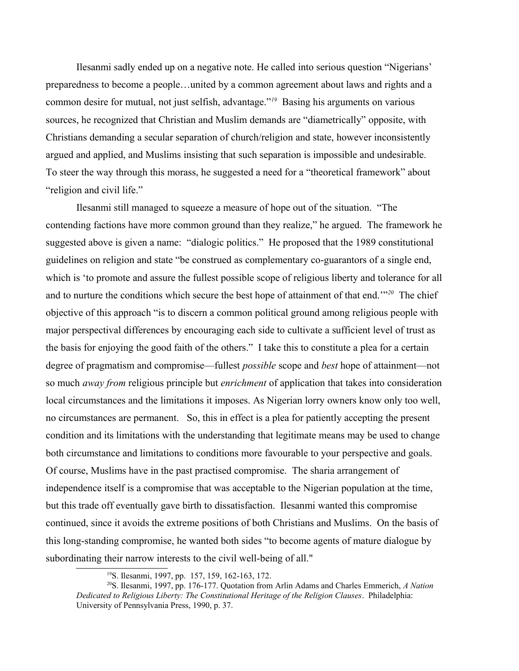Ilesanmi sadly ended up on a negative note. He called into serious question "Nigerians' preparedness to become a people…united by a common agreement about laws and rights and a common desire for mutual, not just selfish, advantage."*[19](#page-7-0)* Basing his arguments on various sources, he recognized that Christian and Muslim demands are "diametrically" opposite, with Christians demanding a secular separation of church/religion and state, however inconsistently argued and applied, and Muslims insisting that such separation is impossible and undesirable. To steer the way through this morass, he suggested a need for a "theoretical framework" about "religion and civil life."

Ilesanmi still managed to squeeze a measure of hope out of the situation. "The contending factions have more common ground than they realize," he argued. The framework he suggested above is given a name: "dialogic politics." He proposed that the 1989 constitutional guidelines on religion and state "be construed as complementary co-guarantors of a single end, which is 'to promote and assure the fullest possible scope of religious liberty and tolerance for all and to nurture the conditions which secure the best hope of attainment of that end.'"*[20](#page-7-1)* The chief objective of this approach "is to discern a common political ground among religious people with major perspectival differences by encouraging each side to cultivate a sufficient level of trust as the basis for enjoying the good faith of the others." I take this to constitute a plea for a certain degree of pragmatism and compromise—fullest *possible* scope and *best* hope of attainment—not so much *away from* religious principle but *enrichment* of application that takes into consideration local circumstances and the limitations it imposes. As Nigerian lorry owners know only too well, no circumstances are permanent. So, this in effect is a plea for patiently accepting the present condition and its limitations with the understanding that legitimate means may be used to change both circumstance and limitations to conditions more favourable to your perspective and goals. Of course, Muslims have in the past practised compromise. The sharia arrangement of independence itself is a compromise that was acceptable to the Nigerian population at the time, but this trade off eventually gave birth to dissatisfaction. Ilesanmi wanted this compromise continued, since it avoids the extreme positions of both Christians and Muslims. On the basis of this long-standing compromise, he wanted both sides "to become agents of mature dialogue by subordinating their narrow interests to the civil well-being of all."

<span id="page-7-1"></span><span id="page-7-0"></span><sup>19</sup>S. Ilesanmi, 1997, pp. 157, 159, 162-163, 172.

<sup>20</sup>S. Ilesanmi, 1997, pp. 176-177. Quotation from Arlin Adams and Charles Emmerich, *A Nation Dedicated to Religious Liberty: The Constitutional Heritage of the Religion Clauses*. Philadelphia: University of Pennsylvania Press, 1990, p. 37.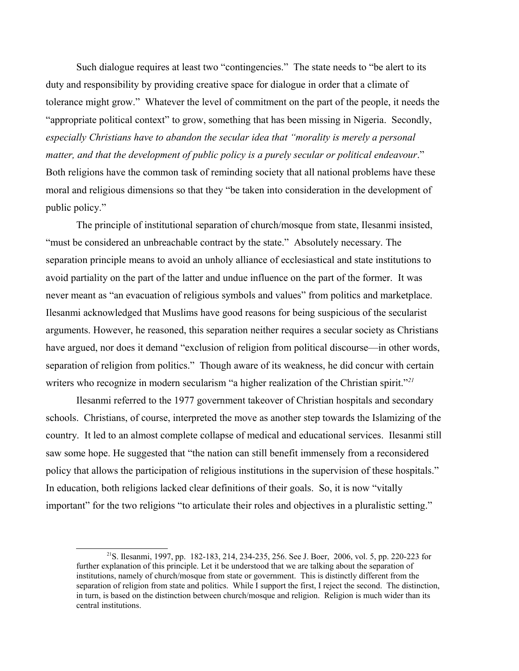Such dialogue requires at least two "contingencies." The state needs to "be alert to its duty and responsibility by providing creative space for dialogue in order that a climate of tolerance might grow." Whatever the level of commitment on the part of the people, it needs the "appropriate political context" to grow, something that has been missing in Nigeria. Secondly, *especially Christians have to abandon the secular idea that "morality is merely a personal matter, and that the development of public policy is a purely secular or political endeavour*." Both religions have the common task of reminding society that all national problems have these moral and religious dimensions so that they "be taken into consideration in the development of public policy."

The principle of institutional separation of church/mosque from state, Ilesanmi insisted, "must be considered an unbreachable contract by the state." Absolutely necessary. The separation principle means to avoid an unholy alliance of ecclesiastical and state institutions to avoid partiality on the part of the latter and undue influence on the part of the former. It was never meant as "an evacuation of religious symbols and values" from politics and marketplace. Ilesanmi acknowledged that Muslims have good reasons for being suspicious of the secularist arguments. However, he reasoned, this separation neither requires a secular society as Christians have argued, nor does it demand "exclusion of religion from political discourse—in other words, separation of religion from politics." Though aware of its weakness, he did concur with certain writers who recognize in modern secularism "a higher realization of the Christian spirit."*[21](#page-8-0)*

Ilesanmi referred to the 1977 government takeover of Christian hospitals and secondary schools. Christians, of course, interpreted the move as another step towards the Islamizing of the country. It led to an almost complete collapse of medical and educational services. Ilesanmi still saw some hope. He suggested that "the nation can still benefit immensely from a reconsidered policy that allows the participation of religious institutions in the supervision of these hospitals." In education, both religions lacked clear definitions of their goals. So, it is now "vitally important" for the two religions "to articulate their roles and objectives in a pluralistic setting."

<span id="page-8-0"></span><sup>21</sup>S. Ilesanmi, 1997, pp. 182-183, 214, 234-235, 256. See J. Boer, 2006, vol. 5, pp. 220-223 for further explanation of this principle. Let it be understood that we are talking about the separation of institutions, namely of church/mosque from state or government. This is distinctly different from the separation of religion from state and politics. While I support the first, I reject the second. The distinction, in turn, is based on the distinction between church/mosque and religion. Religion is much wider than its central institutions.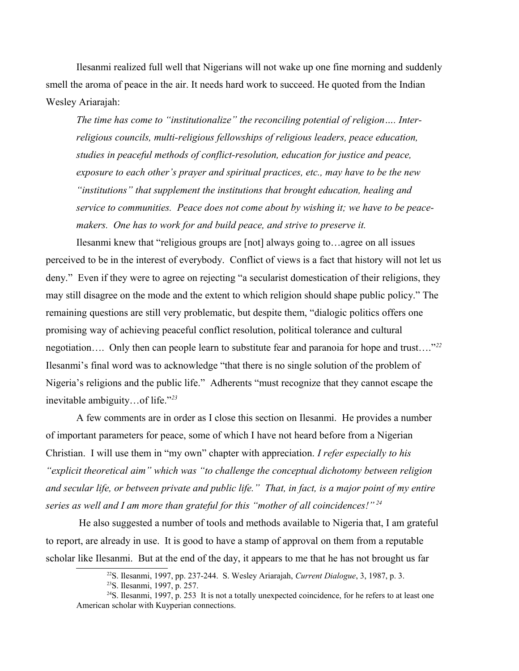Ilesanmi realized full well that Nigerians will not wake up one fine morning and suddenly smell the aroma of peace in the air. It needs hard work to succeed. He quoted from the Indian Wesley Ariarajah:

*The time has come to "institutionalize" the reconciling potential of religion…. Interreligious councils, multi-religious fellowships of religious leaders, peace education, studies in peaceful methods of conflict-resolution, education for justice and peace, exposure to each other's prayer and spiritual practices, etc., may have to be the new "institutions" that supplement the institutions that brought education, healing and service to communities. Peace does not come about by wishing it; we have to be peacemakers. One has to work for and build peace, and strive to preserve it.*

Ilesanmi knew that "religious groups are [not] always going to…agree on all issues perceived to be in the interest of everybody. Conflict of views is a fact that history will not let us deny." Even if they were to agree on rejecting "a secularist domestication of their religions, they may still disagree on the mode and the extent to which religion should shape public policy." The remaining questions are still very problematic, but despite them, "dialogic politics offers one promising way of achieving peaceful conflict resolution, political tolerance and cultural negotiation…. Only then can people learn to substitute fear and paranoia for hope and trust…."*[22](#page-9-0)* Ilesanmi's final word was to acknowledge "that there is no single solution of the problem of Nigeria's religions and the public life." Adherents "must recognize that they cannot escape the inevitable ambiguity…of life."*[23](#page-9-1)*

A few comments are in order as I close this section on Ilesanmi. He provides a number of important parameters for peace, some of which I have not heard before from a Nigerian Christian. I will use them in "my own" chapter with appreciation. *I refer especially to his "explicit theoretical aim" which was "to challenge the conceptual dichotomy between religion and secular life, or between private and public life." That, in fact, is a major point of my entire series as well and I am more than grateful for this "mother of all coincidences!" [24](#page-9-2)*

 He also suggested a number of tools and methods available to Nigeria that, I am grateful to report, are already in use. It is good to have a stamp of approval on them from a reputable scholar like Ilesanmi. But at the end of the day, it appears to me that he has not brought us far

<span id="page-9-2"></span><span id="page-9-1"></span><sup>23</sup>S. Ilesanmi, 1997, p. 257.

<span id="page-9-0"></span><sup>22</sup>S. Ilesanmi, 1997, pp. 237-244. S. Wesley Ariarajah, *Current Dialogue*, 3, 1987, p. 3.

<sup>&</sup>lt;sup>24</sup>S. Ilesanmi, 1997, p. 253 It is not a totally unexpected coincidence, for he refers to at least one American scholar with Kuyperian connections.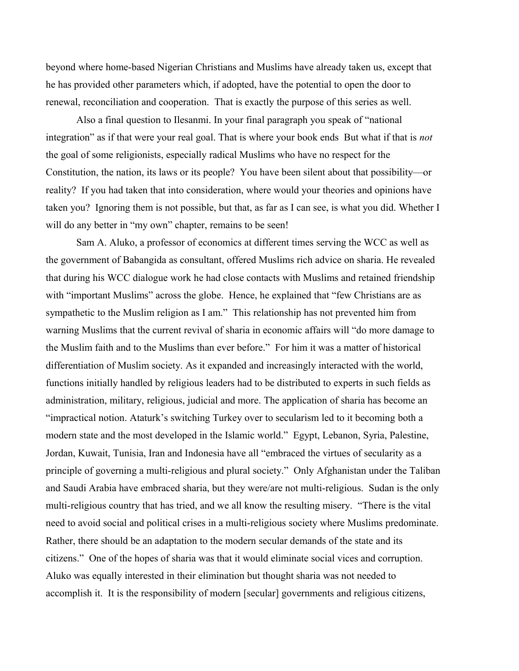beyond where home-based Nigerian Christians and Muslims have already taken us, except that he has provided other parameters which, if adopted, have the potential to open the door to renewal, reconciliation and cooperation. That is exactly the purpose of this series as well.

Also a final question to Ilesanmi. In your final paragraph you speak of "national integration" as if that were your real goal. That is where your book ends But what if that is *not* the goal of some religionists, especially radical Muslims who have no respect for the Constitution, the nation, its laws or its people? You have been silent about that possibility—or reality? If you had taken that into consideration, where would your theories and opinions have taken you? Ignoring them is not possible, but that, as far as I can see, is what you did. Whether I will do any better in "my own" chapter, remains to be seen!

Sam A. Aluko, a professor of economics at different times serving the WCC as well as the government of Babangida as consultant, offered Muslims rich advice on sharia. He revealed that during his WCC dialogue work he had close contacts with Muslims and retained friendship with "important Muslims" across the globe. Hence, he explained that "few Christians are as sympathetic to the Muslim religion as I am." This relationship has not prevented him from warning Muslims that the current revival of sharia in economic affairs will "do more damage to the Muslim faith and to the Muslims than ever before." For him it was a matter of historical differentiation of Muslim society. As it expanded and increasingly interacted with the world, functions initially handled by religious leaders had to be distributed to experts in such fields as administration, military, religious, judicial and more. The application of sharia has become an "impractical notion. Ataturk's switching Turkey over to secularism led to it becoming both a modern state and the most developed in the Islamic world." Egypt, Lebanon, Syria, Palestine, Jordan, Kuwait, Tunisia, Iran and Indonesia have all "embraced the virtues of secularity as a principle of governing a multi-religious and plural society." Only Afghanistan under the Taliban and Saudi Arabia have embraced sharia, but they were/are not multi-religious. Sudan is the only multi-religious country that has tried, and we all know the resulting misery. "There is the vital need to avoid social and political crises in a multi-religious society where Muslims predominate. Rather, there should be an adaptation to the modern secular demands of the state and its citizens." One of the hopes of sharia was that it would eliminate social vices and corruption. Aluko was equally interested in their elimination but thought sharia was not needed to accomplish it. It is the responsibility of modern [secular] governments and religious citizens,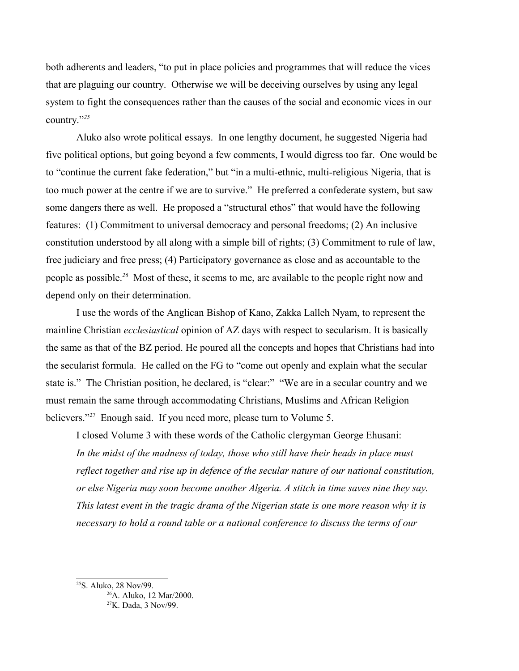both adherents and leaders, "to put in place policies and programmes that will reduce the vices that are plaguing our country. Otherwise we will be deceiving ourselves by using any legal system to fight the consequences rather than the causes of the social and economic vices in our country."*[25](#page-11-0)*

Aluko also wrote political essays. In one lengthy document, he suggested Nigeria had five political options, but going beyond a few comments, I would digress too far. One would be to "continue the current fake federation," but "in a multi-ethnic, multi-religious Nigeria, that is too much power at the centre if we are to survive." He preferred a confederate system, but saw some dangers there as well. He proposed a "structural ethos" that would have the following features: (1) Commitment to universal democracy and personal freedoms; (2) An inclusive constitution understood by all along with a simple bill of rights; (3) Commitment to rule of law, free judiciary and free press; (4) Participatory governance as close and as accountable to the people as possible.*[26](#page-11-1)* Most of these, it seems to me, are available to the people right now and depend only on their determination.

I use the words of the Anglican Bishop of Kano, Zakka Lalleh Nyam, to represent the mainline Christian *ecclesiastical* opinion of AZ days with respect to secularism. It is basically the same as that of the BZ period. He poured all the concepts and hopes that Christians had into the secularist formula. He called on the FG to "come out openly and explain what the secular state is." The Christian position, he declared, is "clear:" "We are in a secular country and we must remain the same through accommodating Christians, Muslims and African Religion believers."<sup>[27](#page-11-2)</sup> Enough said. If you need more, please turn to Volume 5.

I closed Volume 3 with these words of the Catholic clergyman George Ehusani: In the midst of the madness of today, those who still have their heads in place must *reflect together and rise up in defence of the secular nature of our national constitution, or else Nigeria may soon become another Algeria. A stitch in time saves nine they say. This latest event in the tragic drama of the Nigerian state is one more reason why it is necessary to hold a round table or a national conference to discuss the terms of our* 

<span id="page-11-0"></span><sup>&</sup>lt;sup>25</sup>S. Aluko, 28 Nov/99.

<span id="page-11-2"></span><span id="page-11-1"></span><sup>26</sup>A. Aluko, 12 Mar/2000. 27K. Dada, 3 Nov/99.